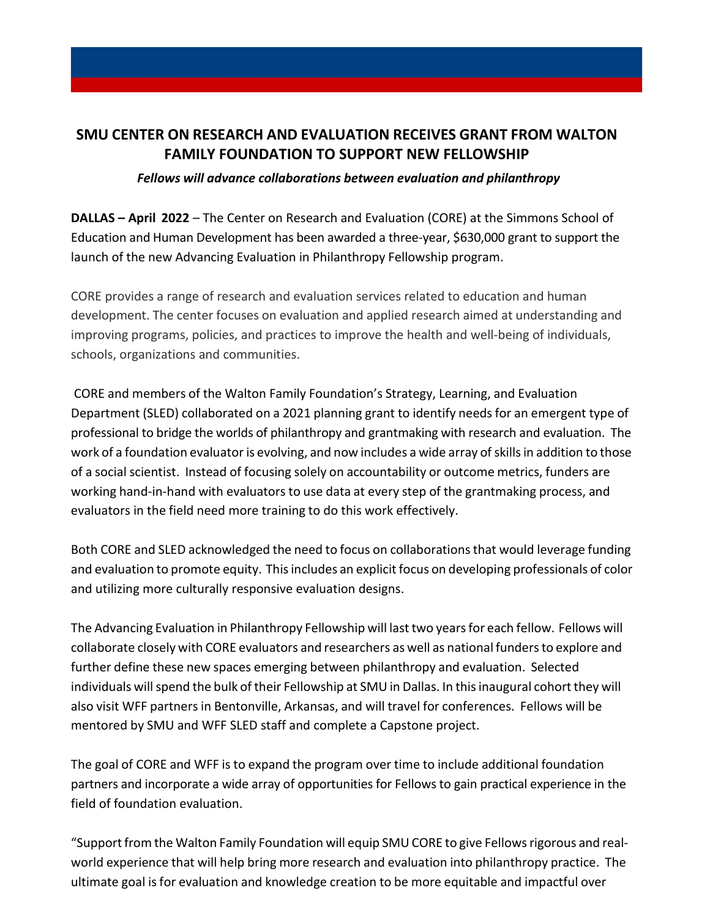# **SMU CENTER ON RESEARCH AND EVALUATION RECEIVES GRANT FROM WALTON FAMILY FOUNDATION TO SUPPORT NEW FELLOWSHIP**

#### *Fellows will advance collaborations between evaluation and philanthropy*

**DALLAS – April 2022** – The Center on Research and Evaluation (CORE) at the Simmons School of Education and Human Development has been awarded a three-year, \$630,000 grant to support the launch of the new Advancing Evaluation in Philanthropy Fellowship program.

CORE provides a range of research and evaluation services related to education and human development. The center focuses on evaluation and applied research aimed at understanding and improving programs, policies, and practices to improve the health and well-being of individuals, schools, organizations and communities.

CORE and members of the Walton Family Foundation's Strategy, Learning, and Evaluation Department (SLED) collaborated on a 2021 planning grant to identify needsfor an emergent type of professional to bridge the worlds of philanthropy and grantmaking with research and evaluation. The work of a foundation evaluator is evolving, and now includes a wide array of skills in addition to those of a social scientist. Instead of focusing solely on accountability or outcome metrics, funders are working hand-in-hand with evaluators to use data at every step of the grantmaking process, and evaluators in the field need more training to do this work effectively.

Both CORE and SLED acknowledged the need to focus on collaborationsthat would leverage funding and evaluation to promote equity. This includes an explicit focus on developing professionals of color and utilizing more culturally responsive evaluation designs.

The Advancing Evaluation in Philanthropy Fellowship will lasttwo yearsfor each fellow. Fellows will collaborate closely with CORE evaluators and researchers as well as nationalfundersto explore and further define these new spaces emerging between philanthropy and evaluation. Selected individuals will spend the bulk of their Fellowship at SMU in Dallas. In this inaugural cohort they will also visit WFF partners in Bentonville, Arkansas, and will travel for conferences. Fellows will be mentored by SMU and WFF SLED staff and complete a Capstone project.

The goal of CORE and WFF is to expand the program over time to include additional foundation partners and incorporate a wide array of opportunities for Fellows to gain practical experience in the field of foundation evaluation.

"Support from the Walton Family Foundation will equip SMU CORE to give Fellows rigorous and realworld experience that will help bring more research and evaluation into philanthropy practice. The ultimate goal is for evaluation and knowledge creation to be more equitable and impactful over